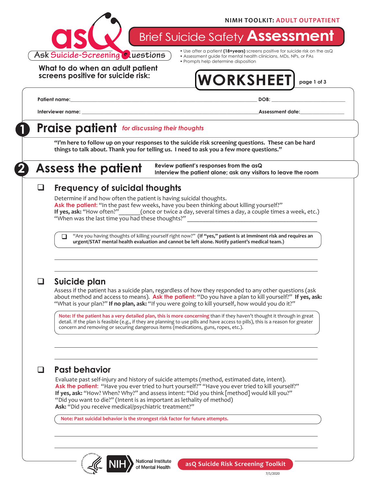#### **NIMH TOOLKIT: ADULT OUTPATIENT**



**Brief Suicide Safety Assessment** 

**What to do when an adult patient screens positive for suicide risk:**

- Use after a patient **(18+years)** screens positive for suicide risk on the asQ • Assessment guide for mental health clinicians, MDs, NPs, or PAs
- Prompts help determine disposition

# **WORKSHEET page 1 of 3**

**Patient name:\_\_\_\_\_\_\_\_\_\_\_\_\_\_\_\_\_\_\_\_\_\_\_\_\_\_\_\_\_\_\_\_\_\_\_\_\_\_\_\_\_\_\_\_\_\_\_\_\_\_\_\_\_\_\_\_\_\_\_\_\_\_\_\_\_\_\_\_\_\_\_\_\_\_\_\_ DOB: \_\_\_\_\_\_\_\_\_\_\_\_\_\_\_\_\_\_\_\_\_\_\_\_\_\_\_\_\_\_**

**Interviewer name: and the set of the set of the set of the set of the set of the set of the set of the set of the set of the set of the set of the set of the set of the set of the set of the set of the set of the set of** 

## **1 Praise patient** *for discussing their thoughts*

**"I'm here to follow up on your responses to the suicide risk screening questions. These can be hard things to talk about. Thank you for telling us. I need to ask you a few more questions."**

**2 Assess the patient**

**Review patient's responses from the asQ Interview the patient alone; ask any visitors to leave the room**

#### **Frequency of suicidal thoughts**  $\sqcup$

Determine if and how often the patient is having suicidal thoughts. Ask the patient: "In the past few weeks, have you been thinking about killing yourself?"<br>If yes, ask: "How often?"\_\_\_\_\_\_(once or twice a day, several times a day, a couple times **(once or twice a day, several times a day, a couple times a week, etc.)** "When was the last time you had these thoughts?"

"Are you having thoughts of killing yourself right now?" **(If "yes," patient is at imminent risk and requires an urgent/STAT mental health evaluation and cannot be left alone. Notify patient's medical team.)**  $\Box$ 

### q **Suicide plan**

Assess if the patient has a suicide plan, regardless of how they responded to any other questions (ask about method and access to means). **Ask the patient:** "Do you have a plan to kill yourself?" **If yes, ask:**  "What is your plan?" **If no plan, ask:** "If you were going to kill yourself, how would you do it?"

**Note: If the patient has a very detailed plan, this is more concerning** than if they haven't thought it through in great detail. If the plan is feasible (e.g., if they are planning to use pills and have access to pills), this is a reason for greater concern and removing or securing dangerous items (medications, guns, ropes, etc.).

### q **Past behavior**

Evaluate past self-injury and history of suicide attempts (method, estimated date, intent). **Ask the patient:** "Have you ever tried to hurt yourself?" "Have you ever tried to kill yourself?" **If yes, ask:** "How? When? Why?" and assess intent: "Did you think [method] would kill you?" "Did you want to die?" (Intent is as important as lethality of method) **Ask:** "Did you receive medical/psychiatric treatment?"

**Note: Past suicidal behavior is the strongest risk factor for future attempts.** 



**National Institute** of Mental Health



7/1/2020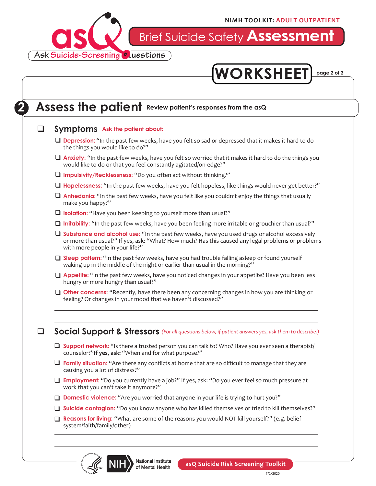

Brief Suicide Safety **Assessment**



## **2** Assess the patient Review patient's responses from the asQ

#### **a** Symptoms Ask the patient about:

- **Depression:** "In the past few weeks, have you felt so sad or depressed that it makes it hard to do the things you would like to do?"
- **Anxiety:** "In the past few weeks, have you felt so worried that it makes it hard to do the things you would like to do or that you feel constantly agitated/on-edge?"
- **Q** Impulsivity/Recklessness: "Do you often act without thinking?"
- □ Hopelessness: "In the past few weeks, have you felt hopeless, like things would never get better?"
- **Anhedonia:** "In the past few weeks, have you felt like you couldn't enjoy the things that usually make you happy?"
- **Q** Isolation: "Have you been keeping to yourself more than usual?"
- □ Irritability: "In the past few weeks, have you been feeling more irritable or grouchier than usual?"
- □ Substance and alcohol use: "In the past few weeks, have you used drugs or alcohol excessively or more than usual?" If yes, ask: "What? How much? Has this caused any legal problems or problems with more people in your life?"
- **□ Sleep pattern:** "In the past few weeks, have you had trouble falling asleep or found yourself waking up in the middle of the night or earlier than usual in the morning?"
- □ Appetite: "In the past few weeks, have you noticed changes in your appetite? Have you been less hungry or more hungry than usual?"
- **Other concerns:** "Recently, have there been any concerning changes in how you are thinking or feeling? Or changes in your mood that we haven't discussed?"

**a** Social Support & Stressors (For all questions below, if patient answers yes, ask them to describe.)

- **Support network:** "Is there a trusted person you can talk to? Who? Have you ever seen a therapist/ counselor?"**If yes, ask:** "When and for what purpose?"
- **T** Family situation: "Are there any conflicts at home that are so difficult to manage that they are causing you a lot of distress?"
- **Employment:** "Do you currently have a job?" If yes, ask: "Do you ever feel so much pressure at work that you can't take it anymore?"
- □ **Domestic violence:** "Are you worried that anyone in your life is trying to hurt you?"
- □ Suicide contagion: "Do you know anyone who has killed themselves or tried to kill themselves?"
- **□ Reasons for living:** "What are some of the reasons you would NOT kill yourself?" (e.g. belief system/faith/family/other)